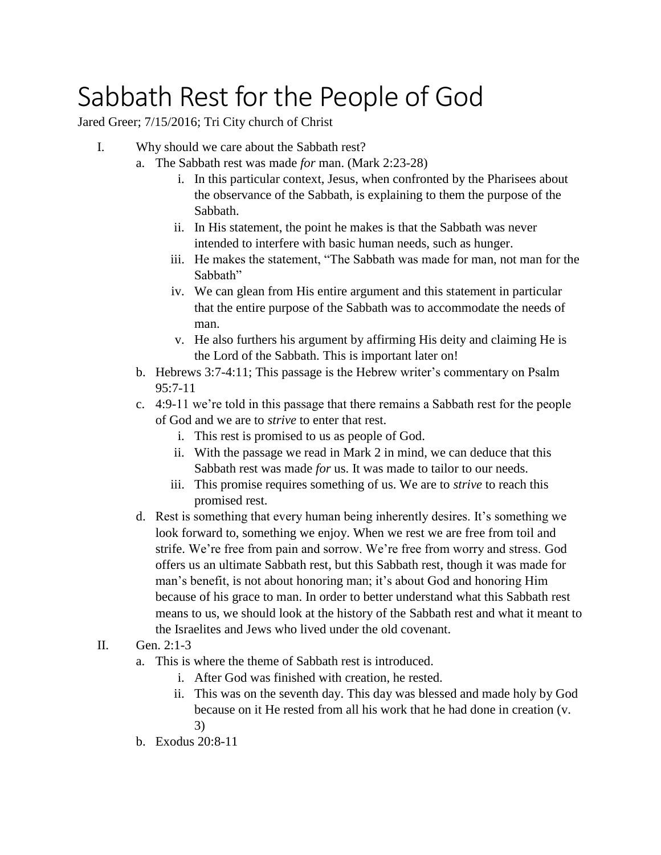## Sabbath Rest for the People of God

Jared Greer; 7/15/2016; Tri City church of Christ

- I. Why should we care about the Sabbath rest?
	- a. The Sabbath rest was made *for* man. (Mark 2:23-28)
		- i. In this particular context, Jesus, when confronted by the Pharisees about the observance of the Sabbath, is explaining to them the purpose of the Sabbath.
		- ii. In His statement, the point he makes is that the Sabbath was never intended to interfere with basic human needs, such as hunger.
		- iii. He makes the statement, "The Sabbath was made for man, not man for the Sabbath"
		- iv. We can glean from His entire argument and this statement in particular that the entire purpose of the Sabbath was to accommodate the needs of man.
		- v. He also furthers his argument by affirming His deity and claiming He is the Lord of the Sabbath. This is important later on!
	- b. Hebrews 3:7-4:11; This passage is the Hebrew writer's commentary on Psalm 95:7-11
	- c. 4:9-11 we're told in this passage that there remains a Sabbath rest for the people of God and we are to *strive* to enter that rest.
		- i. This rest is promised to us as people of God.
		- ii. With the passage we read in Mark 2 in mind, we can deduce that this Sabbath rest was made *for* us. It was made to tailor to our needs.
		- iii. This promise requires something of us. We are to *strive* to reach this promised rest.
	- d. Rest is something that every human being inherently desires. It's something we look forward to, something we enjoy. When we rest we are free from toil and strife. We're free from pain and sorrow. We're free from worry and stress. God offers us an ultimate Sabbath rest, but this Sabbath rest, though it was made for man's benefit, is not about honoring man; it's about God and honoring Him because of his grace to man. In order to better understand what this Sabbath rest means to us, we should look at the history of the Sabbath rest and what it meant to the Israelites and Jews who lived under the old covenant.
- II. Gen. 2:1-3
	- a. This is where the theme of Sabbath rest is introduced.
		- i. After God was finished with creation, he rested.
		- ii. This was on the seventh day. This day was blessed and made holy by God because on it He rested from all his work that he had done in creation (v. 3)
	- b. Exodus 20:8-11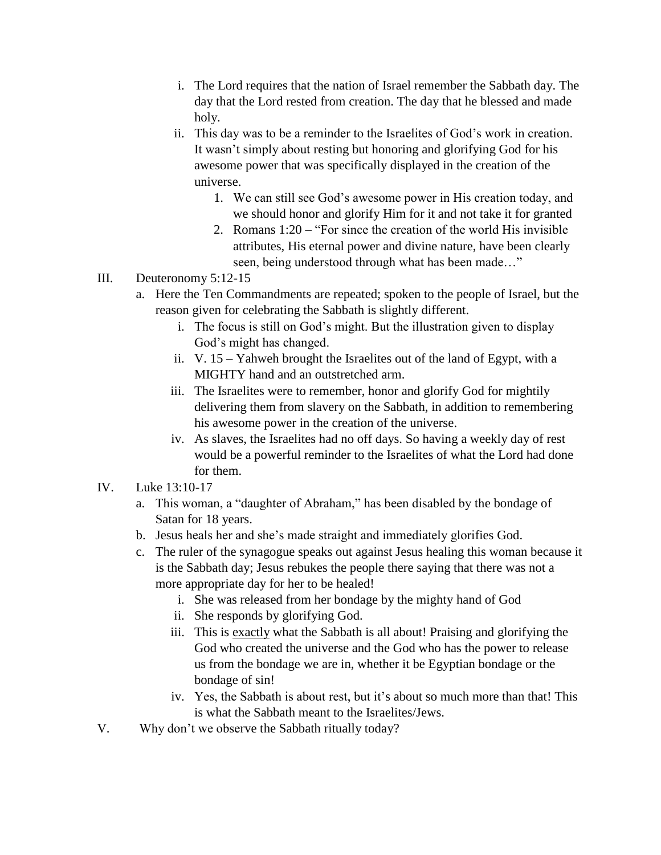- i. The Lord requires that the nation of Israel remember the Sabbath day. The day that the Lord rested from creation. The day that he blessed and made holy.
- ii. This day was to be a reminder to the Israelites of God's work in creation. It wasn't simply about resting but honoring and glorifying God for his awesome power that was specifically displayed in the creation of the universe.
	- 1. We can still see God's awesome power in His creation today, and we should honor and glorify Him for it and not take it for granted
	- 2. Romans 1:20 "For since the creation of the world His invisible attributes, His eternal power and divine nature, have been clearly seen, being understood through what has been made…"
- III. Deuteronomy 5:12-15
	- a. Here the Ten Commandments are repeated; spoken to the people of Israel, but the reason given for celebrating the Sabbath is slightly different.
		- i. The focus is still on God's might. But the illustration given to display God's might has changed.
		- ii. V. 15 Yahweh brought the Israelites out of the land of Egypt, with a MIGHTY hand and an outstretched arm.
		- iii. The Israelites were to remember, honor and glorify God for mightily delivering them from slavery on the Sabbath, in addition to remembering his awesome power in the creation of the universe.
		- iv. As slaves, the Israelites had no off days. So having a weekly day of rest would be a powerful reminder to the Israelites of what the Lord had done for them.
- IV. Luke 13:10-17
	- a. This woman, a "daughter of Abraham," has been disabled by the bondage of Satan for 18 years.
	- b. Jesus heals her and she's made straight and immediately glorifies God.
	- c. The ruler of the synagogue speaks out against Jesus healing this woman because it is the Sabbath day; Jesus rebukes the people there saying that there was not a more appropriate day for her to be healed!
		- i. She was released from her bondage by the mighty hand of God
		- ii. She responds by glorifying God.
		- iii. This is exactly what the Sabbath is all about! Praising and glorifying the God who created the universe and the God who has the power to release us from the bondage we are in, whether it be Egyptian bondage or the bondage of sin!
		- iv. Yes, the Sabbath is about rest, but it's about so much more than that! This is what the Sabbath meant to the Israelites/Jews.
- V. Why don't we observe the Sabbath ritually today?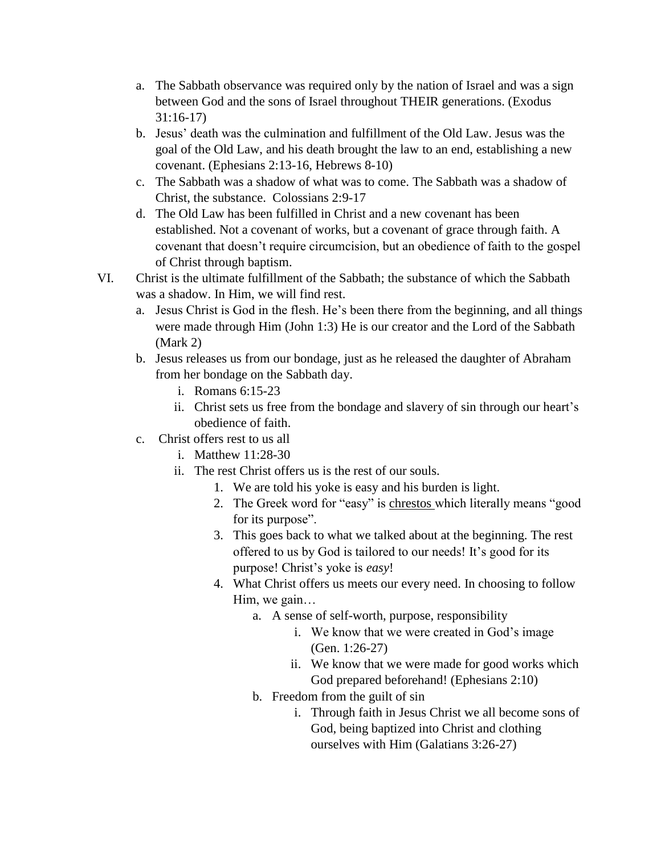- a. The Sabbath observance was required only by the nation of Israel and was a sign between God and the sons of Israel throughout THEIR generations. (Exodus 31:16-17)
- b. Jesus' death was the culmination and fulfillment of the Old Law. Jesus was the goal of the Old Law, and his death brought the law to an end, establishing a new covenant. (Ephesians 2:13-16, Hebrews 8-10)
- c. The Sabbath was a shadow of what was to come. The Sabbath was a shadow of Christ, the substance. Colossians 2:9-17
- d. The Old Law has been fulfilled in Christ and a new covenant has been established. Not a covenant of works, but a covenant of grace through faith. A covenant that doesn't require circumcision, but an obedience of faith to the gospel of Christ through baptism.
- VI. Christ is the ultimate fulfillment of the Sabbath; the substance of which the Sabbath was a shadow. In Him, we will find rest.
	- a. Jesus Christ is God in the flesh. He's been there from the beginning, and all things were made through Him (John 1:3) He is our creator and the Lord of the Sabbath (Mark 2)
	- b. Jesus releases us from our bondage, just as he released the daughter of Abraham from her bondage on the Sabbath day.
		- i. Romans 6:15-23
		- ii. Christ sets us free from the bondage and slavery of sin through our heart's obedience of faith.
	- c. Christ offers rest to us all
		- i. Matthew 11:28-30
		- ii. The rest Christ offers us is the rest of our souls.
			- 1. We are told his yoke is easy and his burden is light.
			- 2. The Greek word for "easy" is chrestos which literally means "good for its purpose".
			- 3. This goes back to what we talked about at the beginning. The rest offered to us by God is tailored to our needs! It's good for its purpose! Christ's yoke is *easy*!
			- 4. What Christ offers us meets our every need. In choosing to follow Him, we gain…
				- a. A sense of self-worth, purpose, responsibility
					- i. We know that we were created in God's image (Gen. 1:26-27)
					- ii. We know that we were made for good works which God prepared beforehand! (Ephesians 2:10)
				- b. Freedom from the guilt of sin
					- i. Through faith in Jesus Christ we all become sons of God, being baptized into Christ and clothing ourselves with Him (Galatians 3:26-27)